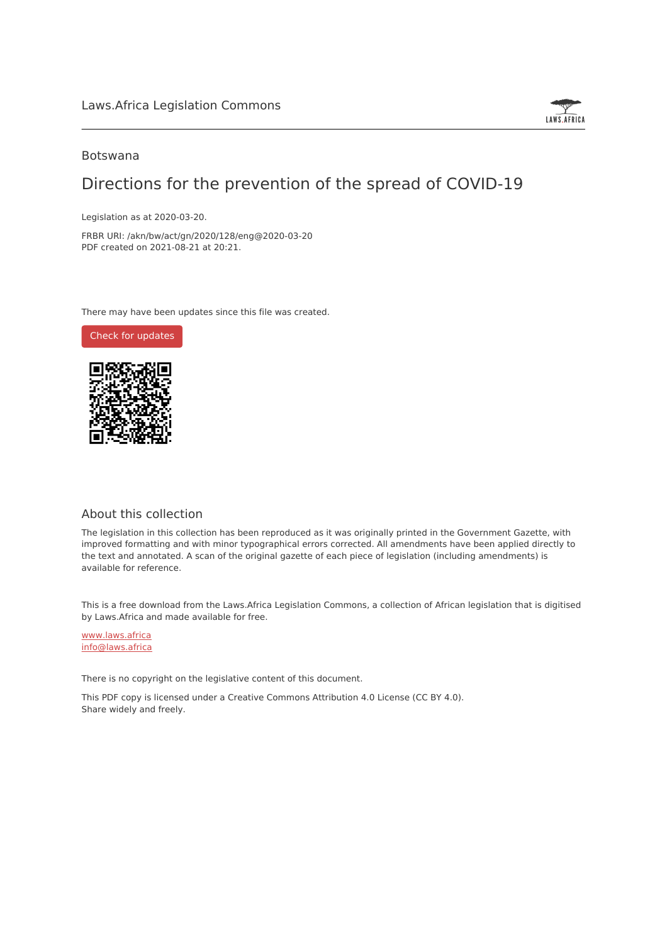

## Botswana

# Directions for the prevention of the spread of COVID-19

Legislation as at 2020-03-20.

FRBR URI: /akn/bw/act/gn/2020/128/eng@2020-03-20 PDF created on 2021-08-21 at 20:21.

There may have been updates since this file was created.

Check for [updates](https://commons.laws.africa/akn/bw/act/gn/2020/128/eng@2020-03-20?ts=2021-08-21T20:21:25.819106+00:00)



# About this collection

The legislation in this collection has been reproduced as it was originally printed in the Government Gazette, with improved formatting and with minor typographical errors corrected. All amendments have been applied directly to the text and annotated. A scan of the original gazette of each piece of legislation (including amendments) is available for reference.

This is a free download from the Laws.Africa Legislation Commons, a collection of African legislation that is digitised by Laws.Africa and made available for free.

[www.laws.africa](https://www.laws.africa) [info@laws.africa](mailto:info@laws.africa)

There is no copyright on the legislative content of this document.

This PDF copy is licensed under a Creative Commons Attribution 4.0 License (CC BY 4.0). Share widely and freely.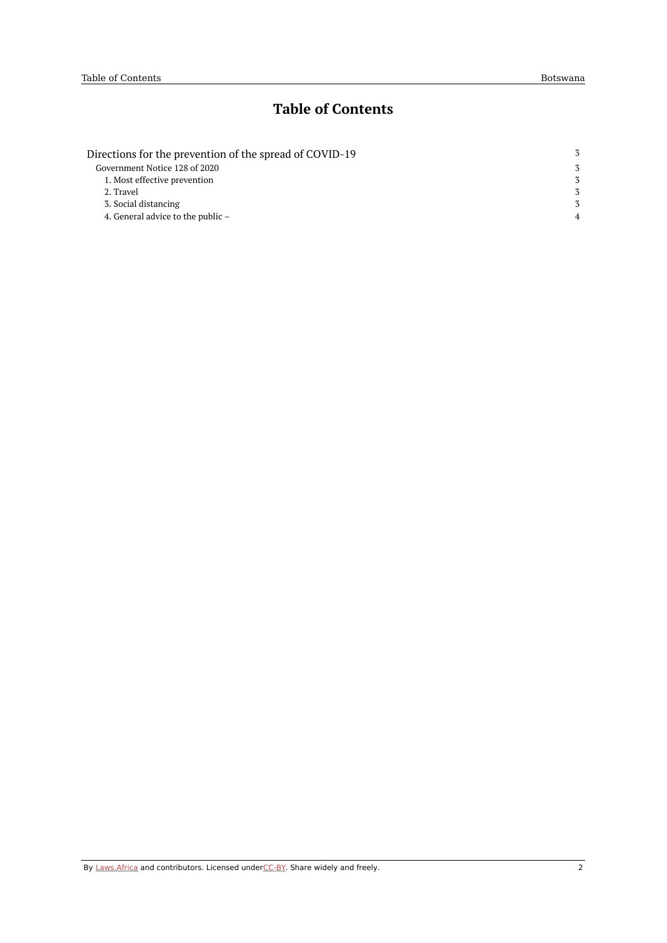# **Table of Contents**

| Directions for the prevention of the spread of COVID-19 | 3              |
|---------------------------------------------------------|----------------|
| Government Notice 128 of 2020                           | 3              |
| 1. Most effective prevention                            | 3              |
| 2. Travel                                               | 3              |
| 3. Social distancing                                    | 3              |
| 4. General advice to the public $-$                     | $\overline{4}$ |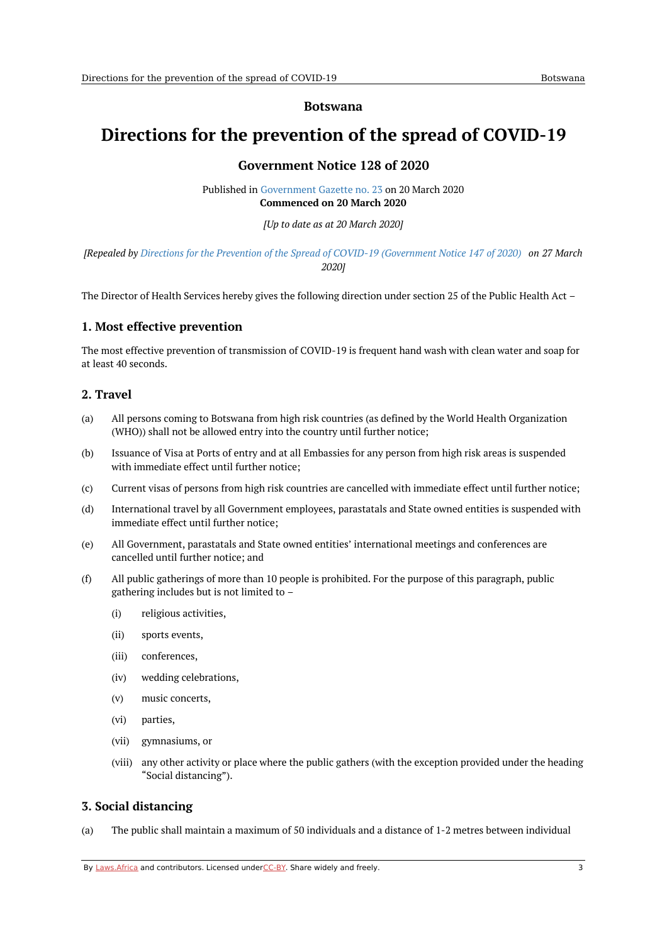### **Botswana**

# <span id="page-2-1"></span><span id="page-2-0"></span>**Directions for the prevention of the spread of COVID-19**

# **Government Notice 128 of 2020**

Published in [Government](https://commons.laws.africa/akn/bw/act/gn/2020/128/media/publication/bw-act-gn-2020-128-publication-document.pdf) Gazette no. 23 on 20 March 2020 **Commenced on 20 March 2020**

*[Up to date as at 20 March 2020]*

[Repealed by Directions for the Prevention of the Spread of COVID-19 [\(Government](https://africanlii.org/akn/bw/act/gn/2020/147) Notice 147 of 2020) on 27 March *2020]*

The Director of Health Services hereby gives the following direction under section 25 of the Public Health Act –

## <span id="page-2-2"></span>**1. Most effective prevention**

The most effective prevention of transmission of COVID-19 is frequent hand wash with clean water and soap for at least 40 seconds.

## <span id="page-2-3"></span>**2. Travel**

- (a) All persons coming to Botswana from high risk countries (as defined by the World Health Organization (WHO)) shall not be allowed entry into the country until further notice;
- (b) Issuance of Visa at Ports of entry and at all Embassies for any person from high risk areas is suspended with immediate effect until further notice;
- $(c)$ Current visas of persons from high risk countries are cancelled with immediate effect until further notice;
- (d) International travel by all Government employees, parastatals and State owned entities is suspended with immediate effect until further notice;
- (e) All Government, parastatals and State owned entities' international meetings and conferences are cancelled until further notice; and
- (f) All public gatherings of more than 10 people is prohibited. For the purpose of this paragraph, public gathering includes but is not limited to –
	- (i) religious activities,
	- (ii) sports events,
	- (iii) conferences,
	- (iv) wedding celebrations,
	- (v) music concerts,
	- (vi) parties,
	- (vii) gymnasiums, or
	- (viii) any other activity or place where the public gathers (with the exception provided under the heading "Social distancing").

## <span id="page-2-4"></span>**3. Social distancing**

 $(a)$ The public shall maintain a maximum of 50 individuals and a distance of 1-2 metres between individual